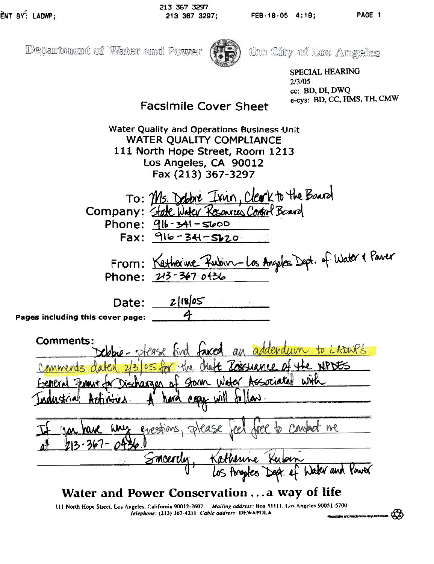¢X

Department of Water and Power



the City of Los Angeles

SPECIAL HEARING 2/3/05 cc: BD, DI, DWQ e-cys: BD, CC, HMS, TH, CMW

# Facsimile Cover Sheet

Water Quality and Operations Business Unit WATER QUALITY COMPLIANCE 111 North Hope Street, Room 1213 Los Angeles, CA 90012 Fax (213) 367-3297

TO: Ms. Debbie Isin, Clerk to the Board Company: State Water Resources Control Board Phone:  $916 - 341 - 5600$  $Fax: 916 - 34 - 5620$ 

 $K$ autorine Rubin  $-1\,\alpha$  Angeles From: <u>Nexted with ANDIVC-US</u> Angles Phone:  $213 - 367 - 0436$ 

Date: Pages including this cover page:  $2|18|05$ 4-

comments:<br>eldne-please find faxed in to LADWP's **750p** the XPDES Comments dated 2/3/05 for Storm Water Associated WHA Industrial Attivities. A hard evan will follow.  $\overline{\mathcal{I}}$ Ml hini crocken  $-4$   $213 - 367 - 0436$ Water and Ysw6(

# Water and Power Conservation ... a way of life

III North Hope Street, Los Angeles, California 90012-2607 Mailing address: Box 51111, Los Angeles 90051-5700 Telephone: (213) 367-4211 Cable address: DEWAPOLA and made from 1954 Serie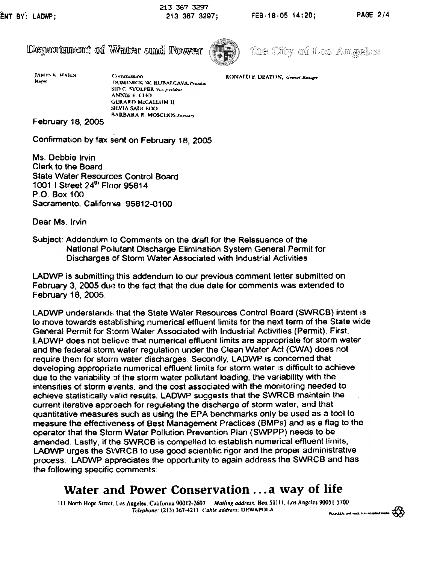|  | Department of Water and Fower |  |  |  |  |
|--|-------------------------------|--|--|--|--|
|--|-------------------------------|--|--|--|--|



the City of Los Amgeles

Commission **EXAMPLE BEATON**, General Manager

**JAMES K HAHN** Mayor

DOMINICK W. RUBALCAVA. Pretakat. SID C: STOLPER, Vice president ANNIE E. CHO **GERARD McCALLUM II** ~llVII\ SAlJ(:EIX) BARBARA E. MOSCHOS. Sarriary

February 18, 2005

Confirmation by fax sent on February 16. 2005

Ms. Debbie Irvin Clerk to the Board State Water Resources Control Board 1001 | Street 24<sup>th</sup> Floor 95814 P.O. Box 100 Sacramento, California 95812-0100

Dear Ms. Irvin

Subject: Addendum 10 Comments on the draft for the Reissuance of the National Pollutant Discharge Elimination System General Permit for Discharges of Storm Water Associated with Industrial Activities

LADWP is submitting this addendum to our previous comment letter submitted on February 3,2005 due to the fact that the due date for comments was extended to February 18, 2005.

LADWP understands that the State Water Resources Control Board (SWRCB) intent is to move towards establishing numerical effluent limits for the next term of the State wide General Permit for Storm Water Associated with Industrial Activities (Permit). First, LADWP does not believe that numerical effluent limits are appropriate for storm water and the federal storm water regulation under the Clean Water Act (CWA) does not require them for storm water discharges. Secondly, LADWP is concerned that developing appropriate numerical effluent limits for storm water is difficult to achieve due to the variability of the storm water pollutant loading, the variability with the intensities of storm events, and the cost associated with the monitoring needed to achieve statistically valid results. LADWP suggests that the SWRCB maintain the current iterative approach for regulating the discharge of storm water, and that quantitative measures such as using the EPA benchmarks only be used as a tool to measure the effectiveness of Best Management Practices (BMPs) and as a flag to the operator that the Storm Water Pollution Prevention Plan (SWPPP) needs to be amended. Lastly, if the SWRCB is compelled to establish numerical effluent limits, LADWP urges the SVVRCB to use good scientific rigor and the proper administrative process. LADWP appreciates the opportunity to again address the SWRCB and has the following specific comments

# Water and Power Conservation ... a way of life

III North Hopc Strect, Los Angeles, California 90012-2607 Mailing address: Box 51111, Los Angeles 90051 5700 Telephone: (213) 367-4211 Cable address: DEWAPOLA

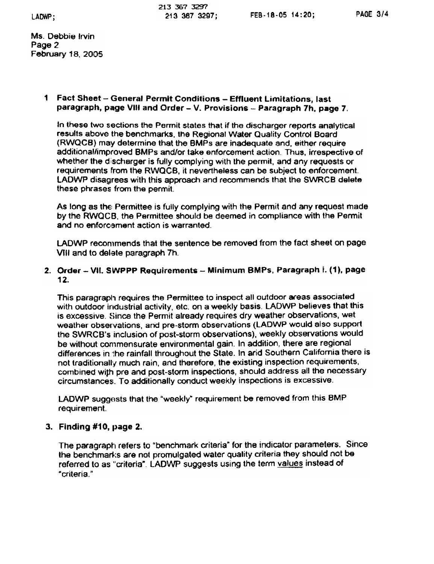Ms. Debbie Irvin Page 2 February 18,2005

#### <sup>1</sup> Fact Sheet - General Permit Conditions - Effluent limitations, last paragraph, page VIII and Order - V. Provisions - Paragraph 7h, page 7.

In these two sections the Permit states that if the discharger reports analytical results above the benchmarks, the Regional Water Quality Control Board (RWQCB) may determine that the BMPs are inadequate and, either require additional/improved BMPs and/or take enforcement action. Thus, irrespective of whether the discharger is fully complying with the permit, and any requests or requirements from the RWQCB, it nevertheless can be subject to enforcement. LADWP disagrees with this approach and recommends that the SWRCB delete these phrases from the permit.

As long as the Permittee is fully complying with the Permit and any request made by the RWQCB, the Permittee should be deemed in compliance with the Permit and no enforcement action is warranted.

LADWP recommends that the sentence be removed from the fact sheet on page VIII and to delete paragraph 7h.

### 2. Order - VII. SWPPP Requirements - Minimum BMPs, Paragraph i. (1), page 12.

This paragraph requires the Permittee to inspect all outdoor areas associated with outdoor industrial activity, etc. on a weekly basis. LADWP believes that this is excessive. Since the Permit already requires dry weather observations, wet weather observations, and pre-storm observations (LADWP would also support the SWRCB's inclusion of post-storm observations). weekly observations would be without commensurate environmental gain. In addition, there are regional differences in "the rainfall throughout the State. In arid Southern California there is not traditionally much rain, and therefore, the existing inspection requirements, combined with pre and post-storm inspections, should address all the necessary circumstances. To additionally conduct weekly inspections is excessive.

LADWP suggests that the "weekly" requirement be removed from this BMP requirement.

### 3. Finding #10, page 2.

The paragraph refers to "benchmark criteria" for the indicator parameters. Since the benchmarks are not promulgated water quality criteria they should not be referred to as "criteria". LADWP suggests using the term values instead of "criteria."